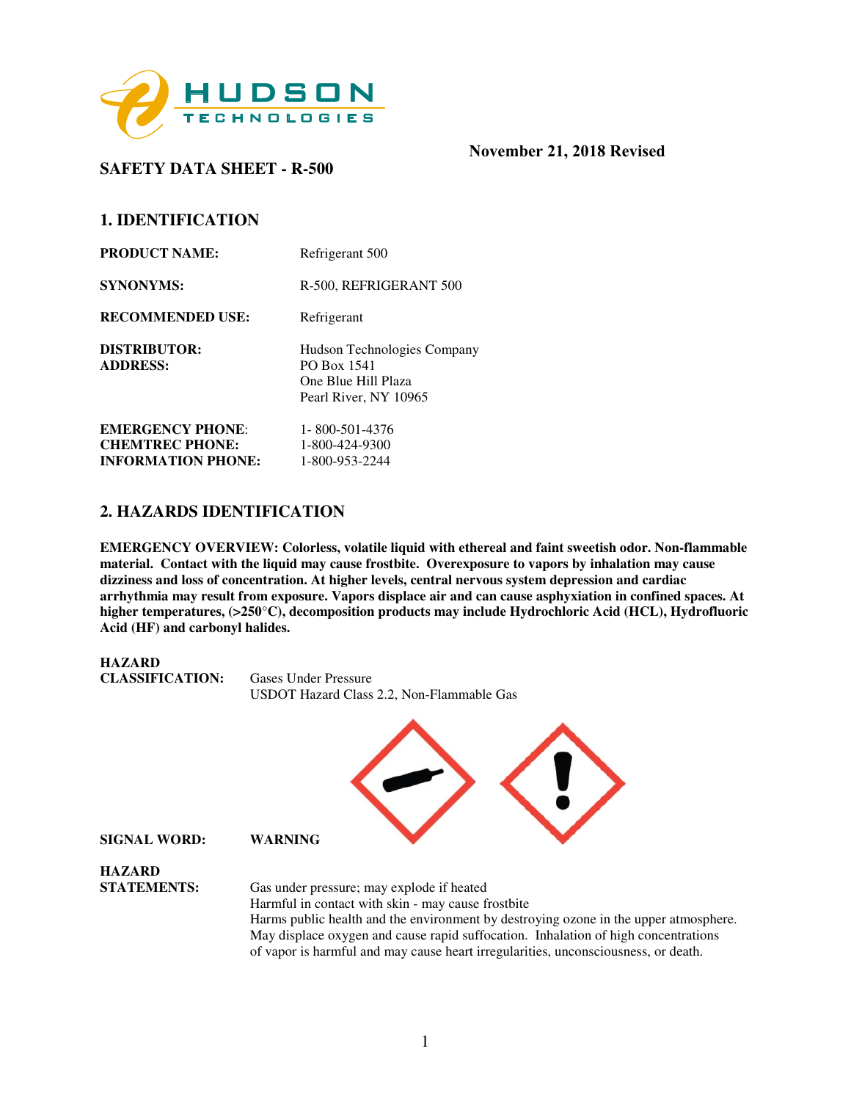

# **SAFETY DATA SHEET - R-500**

## **1. IDENTIFICATION**

| <b>PRODUCT NAME:</b>                              | Refrigerant 500                                                                            |
|---------------------------------------------------|--------------------------------------------------------------------------------------------|
| <b>SYNONYMS:</b>                                  | R-500, REFRIGERANT 500                                                                     |
| <b>RECOMMENDED USE:</b>                           | Refrigerant                                                                                |
| <b>DISTRIBUTOR:</b><br><b>ADDRESS:</b>            | Hudson Technologies Company<br>PO Box 1541<br>One Blue Hill Plaza<br>Pearl River, NY 10965 |
| <b>EMERGENCY PHONE:</b><br><b>CHEMTREC PHONE:</b> | 1-800-501-4376<br>1-800-424-9300                                                           |
| <b>INFORMATION PHONE:</b>                         | 1-800-953-2244                                                                             |

# **2. HAZARDS IDENTIFICATION**

**EMERGENCY OVERVIEW: Colorless, volatile liquid with ethereal and faint sweetish odor. Non-flammable material. Contact with the liquid may cause frostbite. Overexposure to vapors by inhalation may cause dizziness and loss of concentration. At higher levels, central nervous system depression and cardiac arrhythmia may result from exposure. Vapors displace air and can cause asphyxiation in confined spaces. At higher temperatures, (>250**°**C), decomposition products may include Hydrochloric Acid (HCL), Hydrofluoric Acid (HF) and carbonyl halides.** 

**HAZARD CLASSIFICATION:** Gases Under Pressure USDOT Hazard Class 2.2, Non-Flammable Gas

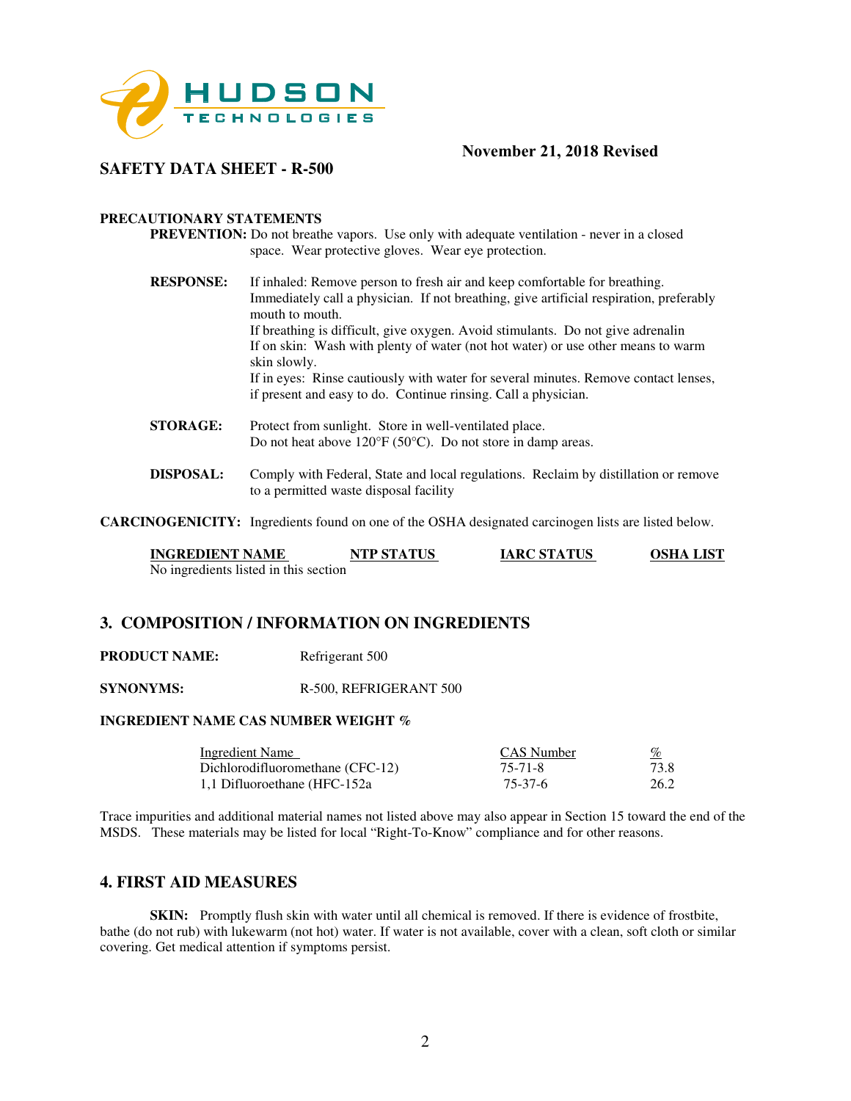

## **SAFETY DATA SHEET - R-500**

### **PRECAUTIONARY STATEMENTS**

**PREVENTION:** Do not breathe vapors. Use only with adequate ventilation - never in a closed space. Wear protective gloves. Wear eye protection.

- **RESPONSE:** If inhaled: Remove person to fresh air and keep comfortable for breathing. Immediately call a physician. If not breathing, give artificial respiration, preferably mouth to mouth. If breathing is difficult, give oxygen. Avoid stimulants. Do not give adrenalin If on skin: Wash with plenty of water (not hot water) or use other means to warm skin slowly. If in eyes: Rinse cautiously with water for several minutes. Remove contact lenses, if present and easy to do. Continue rinsing. Call a physician. **STORAGE:** Protect from sunlight. Store in well-ventilated place.
- Do not heat above 120°F (50°C). Do not store in damp areas. **DISPOSAL:** Comply with Federal, State and local regulations. Reclaim by distillation or remove

to a permitted waste disposal facility

**CARCINOGENICITY:** Ingredients found on one of the OSHA designated carcinogen lists are listed below.

| <b>INGREDIENT NAME</b>                | <b>NTP STATUS</b> | <b>IARC STATUS</b> | <b>OSHA LIST</b> |
|---------------------------------------|-------------------|--------------------|------------------|
| No ingredients listed in this section |                   |                    |                  |

## **3. COMPOSITION / INFORMATION ON INGREDIENTS**

**PRODUCT NAME:** Refrigerant 500

**SYNONYMS:** R-500, REFRIGERANT 500

### **INGREDIENT NAME CAS NUMBER WEIGHT %**

| <b>Ingredient Name</b>           | CAS Number | <u>%</u> |
|----------------------------------|------------|----------|
| Dichlorodifluoromethane (CFC-12) | 75-71-8    | 73.8     |
| 1,1 Difluoroethane (HFC-152a)    | 75-37-6    | 26.2     |

Trace impurities and additional material names not listed above may also appear in Section 15 toward the end of the MSDS. These materials may be listed for local "Right-To-Know" compliance and for other reasons.

## **4. FIRST AID MEASURES**

**SKIN:** Promptly flush skin with water until all chemical is removed. If there is evidence of frostbite, bathe (do not rub) with lukewarm (not hot) water. If water is not available, cover with a clean, soft cloth or similar covering. Get medical attention if symptoms persist.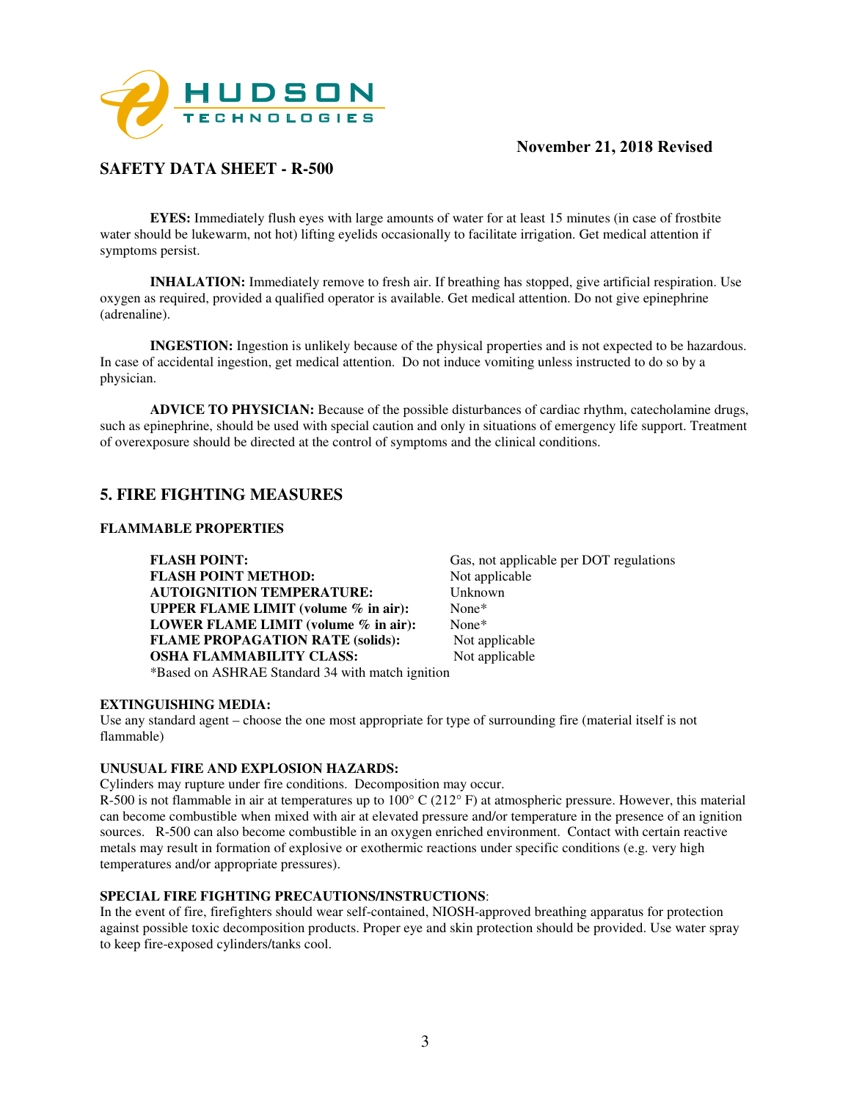

# **SAFETY DATA SHEET - R-500**

**EYES:** Immediately flush eyes with large amounts of water for at least 15 minutes (in case of frostbite water should be lukewarm, not hot) lifting eyelids occasionally to facilitate irrigation. Get medical attention if symptoms persist.

**INHALATION:** Immediately remove to fresh air. If breathing has stopped, give artificial respiration. Use oxygen as required, provided a qualified operator is available. Get medical attention. Do not give epinephrine (adrenaline).

**INGESTION:** Ingestion is unlikely because of the physical properties and is not expected to be hazardous. In case of accidental ingestion, get medical attention. Do not induce vomiting unless instructed to do so by a physician.

**ADVICE TO PHYSICIAN:** Because of the possible disturbances of cardiac rhythm, catecholamine drugs, such as epinephrine, should be used with special caution and only in situations of emergency life support. Treatment of overexposure should be directed at the control of symptoms and the clinical conditions.

# **5. FIRE FIGHTING MEASURES**

## **FLAMMABLE PROPERTIES**

**FLASH POINT:** Gas, not applicable per DOT regulations **FLASH POINT METHOD:** Not applicable **AUTOIGNITION TEMPERATURE:** Unknown **UPPER FLAME LIMIT (volume % in air):** None\* **LOWER FLAME LIMIT (volume % in air):** None\* **FLAME PROPAGATION RATE (solids):** Not applicable **OSHA FLAMMABILITY CLASS:** Not applicable \*Based on ASHRAE Standard 34 with match ignition

#### **EXTINGUISHING MEDIA:**

Use any standard agent – choose the one most appropriate for type of surrounding fire (material itself is not flammable)

#### **UNUSUAL FIRE AND EXPLOSION HAZARDS:**

Cylinders may rupture under fire conditions. Decomposition may occur.

R-500 is not flammable in air at temperatures up to  $100^{\circ}$  C (212 $^{\circ}$  F) at atmospheric pressure. However, this material can become combustible when mixed with air at elevated pressure and/or temperature in the presence of an ignition sources. R-500 can also become combustible in an oxygen enriched environment. Contact with certain reactive metals may result in formation of explosive or exothermic reactions under specific conditions (e.g. very high temperatures and/or appropriate pressures).

#### **SPECIAL FIRE FIGHTING PRECAUTIONS/INSTRUCTIONS**:

In the event of fire, firefighters should wear self-contained, NIOSH-approved breathing apparatus for protection against possible toxic decomposition products. Proper eye and skin protection should be provided. Use water spray to keep fire-exposed cylinders/tanks cool.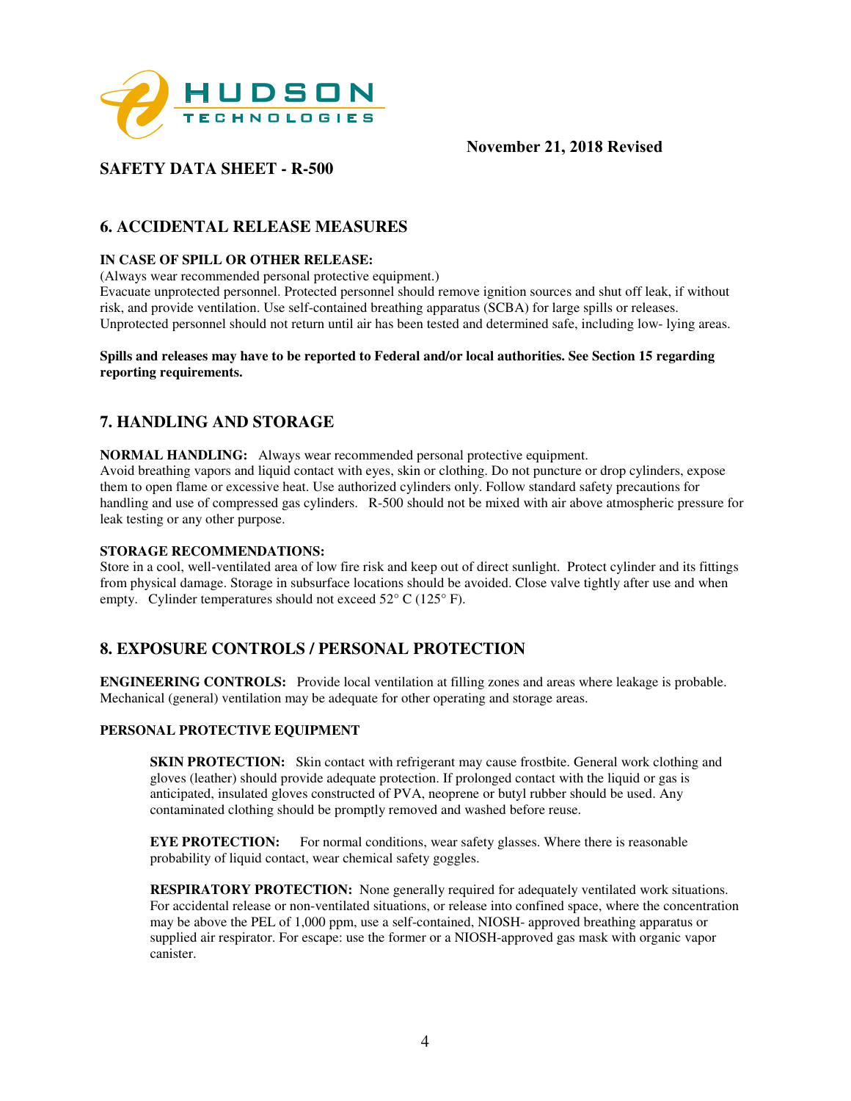

# **SAFETY DATA SHEET - R-500**

# **6. ACCIDENTAL RELEASE MEASURES**

## **IN CASE OF SPILL OR OTHER RELEASE:**

(Always wear recommended personal protective equipment.)

Evacuate unprotected personnel. Protected personnel should remove ignition sources and shut off leak, if without risk, and provide ventilation. Use self-contained breathing apparatus (SCBA) for large spills or releases. Unprotected personnel should not return until air has been tested and determined safe, including low- lying areas.

#### **Spills and releases may have to be reported to Federal and/or local authorities. See Section 15 regarding reporting requirements.**

# **7. HANDLING AND STORAGE**

**NORMAL HANDLING:** Always wear recommended personal protective equipment. Avoid breathing vapors and liquid contact with eyes, skin or clothing. Do not puncture or drop cylinders, expose them to open flame or excessive heat. Use authorized cylinders only. Follow standard safety precautions for handling and use of compressed gas cylinders. R-500 should not be mixed with air above atmospheric pressure for leak testing or any other purpose.

## **STORAGE RECOMMENDATIONS:**

Store in a cool, well-ventilated area of low fire risk and keep out of direct sunlight. Protect cylinder and its fittings from physical damage. Storage in subsurface locations should be avoided. Close valve tightly after use and when empty. Cylinder temperatures should not exceed  $52^{\circ}$  C (125° F).

# **8. EXPOSURE CONTROLS / PERSONAL PROTECTION**

**ENGINEERING CONTROLS:** Provide local ventilation at filling zones and areas where leakage is probable. Mechanical (general) ventilation may be adequate for other operating and storage areas.

## **PERSONAL PROTECTIVE EQUIPMENT**

**SKIN PROTECTION:** Skin contact with refrigerant may cause frostbite. General work clothing and gloves (leather) should provide adequate protection. If prolonged contact with the liquid or gas is anticipated, insulated gloves constructed of PVA, neoprene or butyl rubber should be used. Any contaminated clothing should be promptly removed and washed before reuse.

**EYE PROTECTION:** For normal conditions, wear safety glasses. Where there is reasonable probability of liquid contact, wear chemical safety goggles.

**RESPIRATORY PROTECTION:** None generally required for adequately ventilated work situations. For accidental release or non-ventilated situations, or release into confined space, where the concentration may be above the PEL of 1,000 ppm, use a self-contained, NIOSH- approved breathing apparatus or supplied air respirator. For escape: use the former or a NIOSH-approved gas mask with organic vapor canister.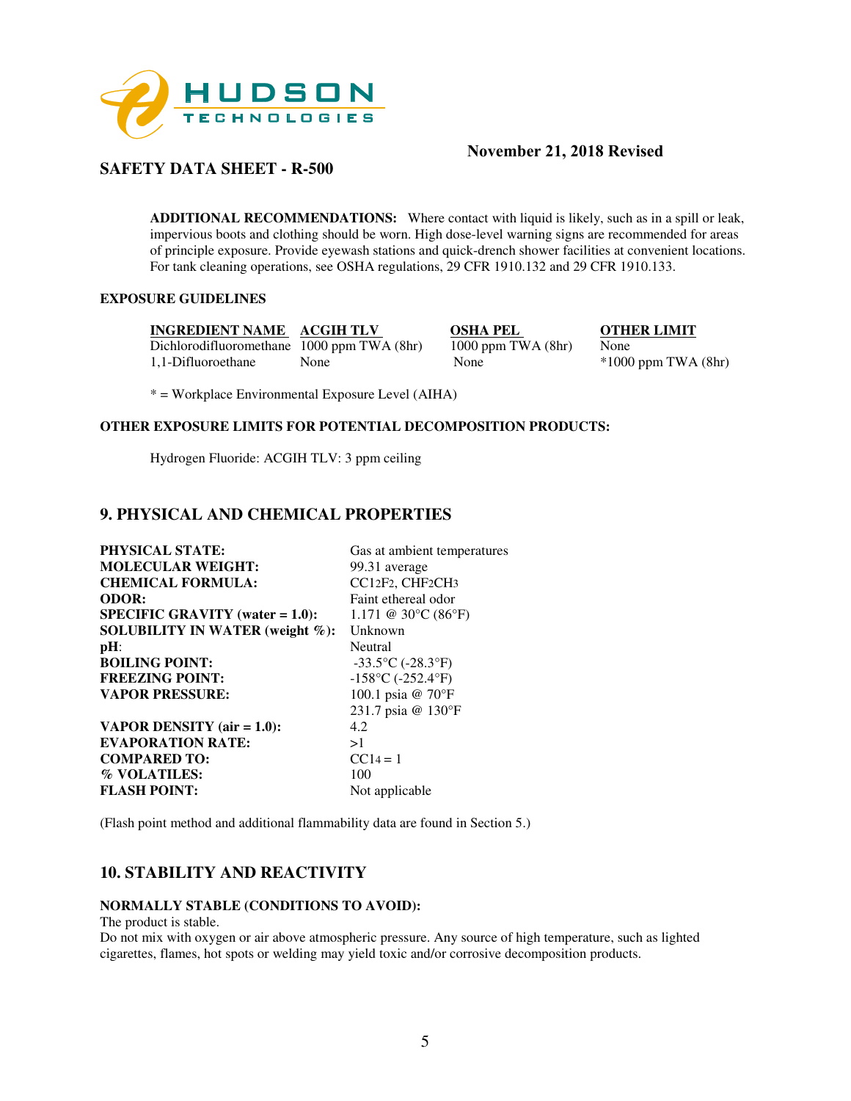

# **SAFETY DATA SHEET - R-500**

**ADDITIONAL RECOMMENDATIONS:** Where contact with liquid is likely, such as in a spill or leak, impervious boots and clothing should be worn. High dose-level warning signs are recommended for areas of principle exposure. Provide eyewash stations and quick-drench shower facilities at convenient locations. For tank cleaning operations, see OSHA regulations, 29 CFR 1910.132 and 29 CFR 1910.133.

## **EXPOSURE GUIDELINES**

**INGREDIENT NAME ACGIH TLV OSHA PEL OTHER LIMIT**<br>Dichlorodifluoromethane 1000 ppm TWA (8hr) 1000 ppm TWA (8hr) None Dichlorodifluoromethane 1000 ppm TWA (8hr) 1000 ppm TWA (8hr) None<br>1.1-Difluoroethane None None \*1000

1,1000 ppm TWA (8hr) None \*1000 ppm TWA (8hr)

\* = Workplace Environmental Exposure Level (AIHA)

### **OTHER EXPOSURE LIMITS FOR POTENTIAL DECOMPOSITION PRODUCTS:**

Hydrogen Fluoride: ACGIH TLV: 3 ppm ceiling

# **9. PHYSICAL AND CHEMICAL PROPERTIES**

| <b>PHYSICAL STATE:</b>                 | Gas at ambient temperatures                        |
|----------------------------------------|----------------------------------------------------|
| <b>MOLECULAR WEIGHT:</b>               | 99.31 average                                      |
| <b>CHEMICAL FORMULA:</b>               | CC12F2, CHF2CH3                                    |
| <b>ODOR:</b>                           | Faint ethereal odor                                |
| $SPECIFIC GRAVITY (water = 1.0):$      | 1.171 @ 30 $\rm{^{\circ}C}$ (86 $\rm{^{\circ}F}$ ) |
| <b>SOLUBILITY IN WATER (weight %):</b> | Unknown                                            |
| $pH$ :                                 | Neutral                                            |
| <b>BOILING POINT:</b>                  | $-33.5$ °C ( $-28.3$ °F)                           |
| <b>FREEZING POINT:</b>                 | $-158$ °C ( $-252.4$ °F)                           |
| <b>VAPOR PRESSURE:</b>                 | 100.1 psia @ 70°F                                  |
|                                        | 231.7 psia @ 130°F                                 |
| VAPOR DENSITY $(air = 1.0)$ :          | 4.2                                                |
| <b>EVAPORATION RATE:</b>               | >1                                                 |
| <b>COMPARED TO:</b>                    | $CC14 = 1$                                         |
| % VOLATILES:                           | 100                                                |
| <b>FLASH POINT:</b>                    | Not applicable                                     |
|                                        |                                                    |

(Flash point method and additional flammability data are found in Section 5.)

# **10. STABILITY AND REACTIVITY**

#### **NORMALLY STABLE (CONDITIONS TO AVOID):**

The product is stable.

Do not mix with oxygen or air above atmospheric pressure. Any source of high temperature, such as lighted cigarettes, flames, hot spots or welding may yield toxic and/or corrosive decomposition products.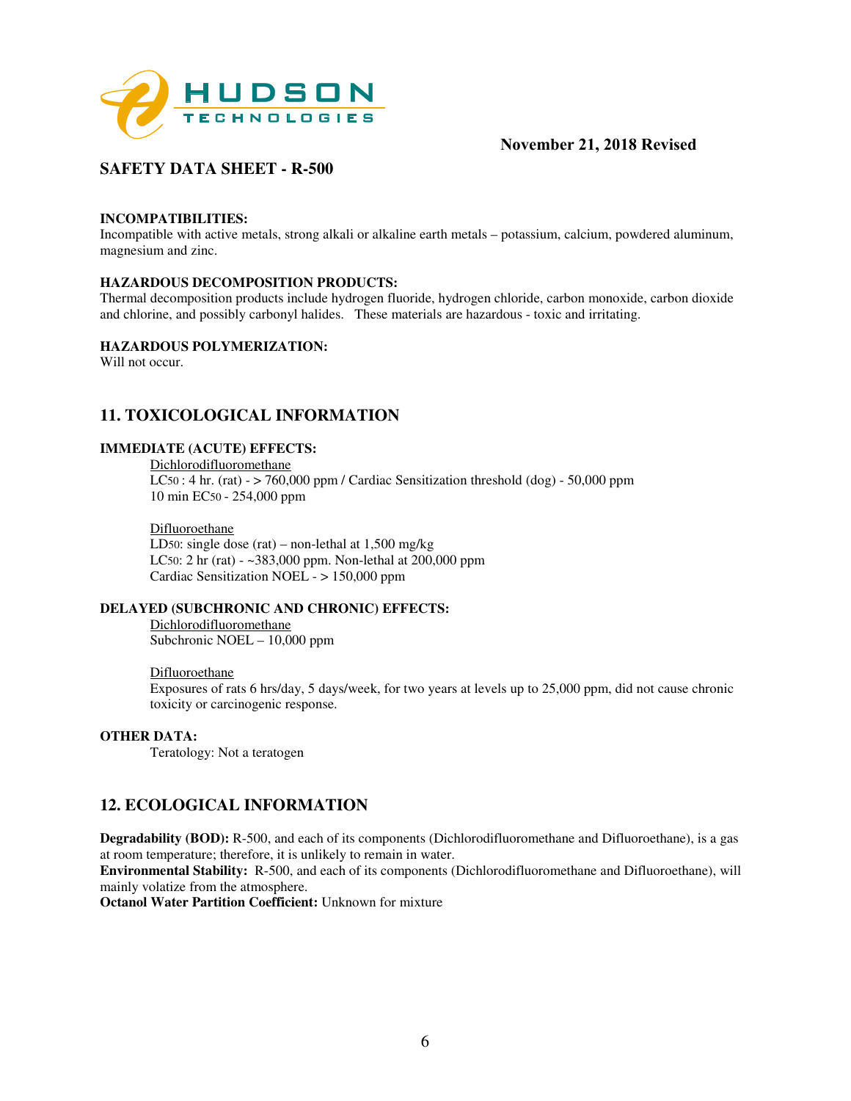

# **SAFETY DATA SHEET - R-500**

### **INCOMPATIBILITIES:**

Incompatible with active metals, strong alkali or alkaline earth metals – potassium, calcium, powdered aluminum, magnesium and zinc.

### **HAZARDOUS DECOMPOSITION PRODUCTS:**

Thermal decomposition products include hydrogen fluoride, hydrogen chloride, carbon monoxide, carbon dioxide and chlorine, and possibly carbonyl halides. These materials are hazardous - toxic and irritating.

### **HAZARDOUS POLYMERIZATION:**

Will not occur.

## **11. TOXICOLOGICAL INFORMATION**

### **IMMEDIATE (ACUTE) EFFECTS:**

Dichlorodifluoromethane LC50 : 4 hr. (rat) -  $>$  760,000 ppm / Cardiac Sensitization threshold (dog) - 50,000 ppm 10 min EC50 - 254,000 ppm

#### Difluoroethane

LD50: single dose (rat) – non-lethal at 1,500 mg/kg LC50: 2 hr (rat) - ~383,000 ppm. Non-lethal at 200,000 ppm Cardiac Sensitization NOEL - > 150,000 ppm

## **DELAYED (SUBCHRONIC AND CHRONIC) EFFECTS:**

Dichlorodifluoromethane Subchronic NOEL – 10,000 ppm

#### Difluoroethane

Exposures of rats 6 hrs/day, 5 days/week, for two years at levels up to 25,000 ppm, did not cause chronic toxicity or carcinogenic response.

#### **OTHER DATA:**

Teratology: Not a teratogen

# **12. ECOLOGICAL INFORMATION**

**Degradability (BOD):** R-500, and each of its components (Dichlorodifluoromethane and Difluoroethane), is a gas at room temperature; therefore, it is unlikely to remain in water.

**Environmental Stability:** R-500, and each of its components (Dichlorodifluoromethane and Difluoroethane), will mainly volatize from the atmosphere.

**Octanol Water Partition Coefficient:** Unknown for mixture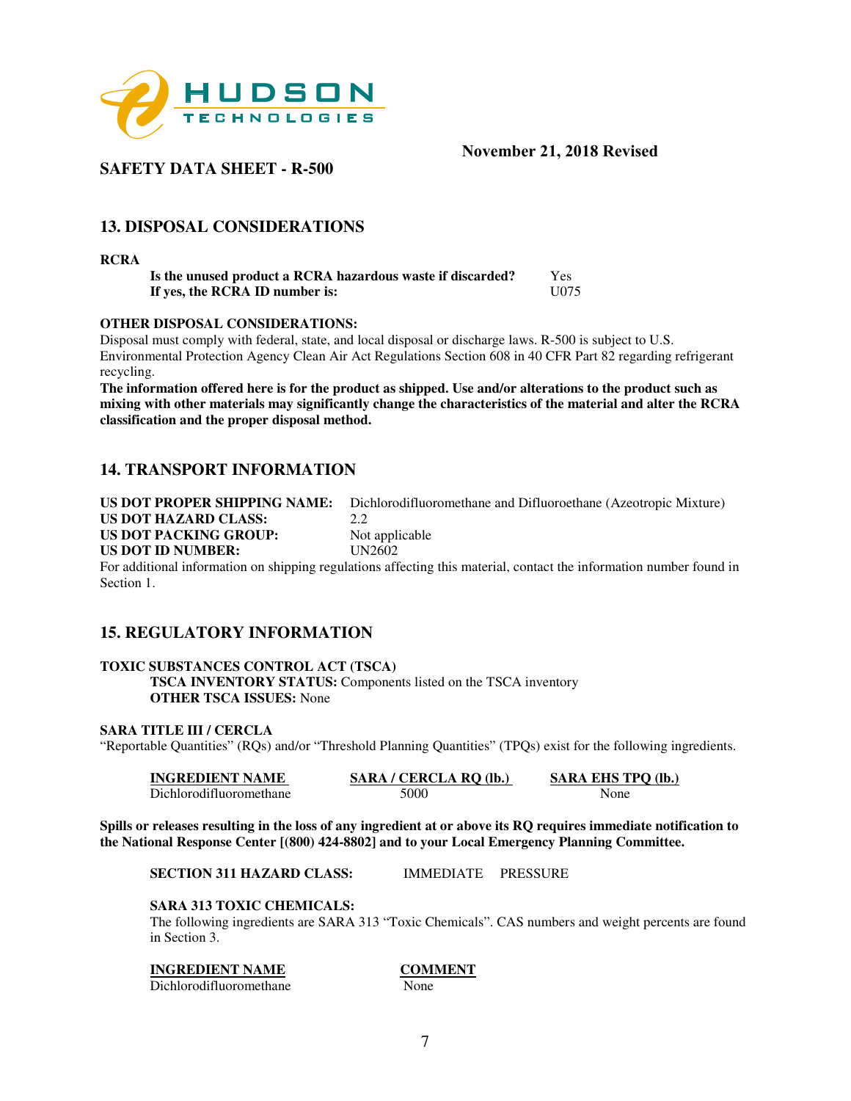

# **SAFETY DATA SHEET - R-500**

# **13. DISPOSAL CONSIDERATIONS**

**RCRA** 

**Is the unused product a RCRA hazardous waste if discarded?** Yes<br>**If yes, the RCRA ID number is:** U075 If yes, the RCRA ID number is:

## **OTHER DISPOSAL CONSIDERATIONS:**

Disposal must comply with federal, state, and local disposal or discharge laws. R-500 is subject to U.S. Environmental Protection Agency Clean Air Act Regulations Section 608 in 40 CFR Part 82 regarding refrigerant recycling.

**The information offered here is for the product as shipped. Use and/or alterations to the product such as mixing with other materials may significantly change the characteristics of the material and alter the RCRA classification and the proper disposal method.** 

# **14. TRANSPORT INFORMATION**

**US DOT PROPER SHIPPING NAME:** Dichlorodifluoromethane and Difluoroethane (Azeotropic Mixture) **US DOT HAZARD CLASS:** 2.2<br> **US DOT PACKING GROUP:** Not applicable **US DOT PACKING GROUP: US DOT ID NUMBER:** UN2602

For additional information on shipping regulations affecting this material, contact the information number found in Section 1.

# **15. REGULATORY INFORMATION**

## **TOXIC SUBSTANCES CONTROL ACT (TSCA)**

**TSCA INVENTORY STATUS:** Components listed on the TSCA inventory **OTHER TSCA ISSUES:** None

## **SARA TITLE III / CERCLA**

"Reportable Quantities" (RQs) and/or "Threshold Planning Quantities" (TPQs) exist for the following ingredients.

| <b>INGREDIENT NAME</b>  | SARA / CERCLA RO (lb.) | <b>SARA EHS TPO (lb.)</b> |
|-------------------------|------------------------|---------------------------|
| Dichlorodifluoromethane | 5000                   | None                      |

**Spills or releases resulting in the loss of any ingredient at or above its RQ requires immediate notification to the National Response Center [(800) 424-8802] and to your Local Emergency Planning Committee.** 

**SECTION 311 HAZARD CLASS:** IMMEDIATE PRESSURE

## **SARA 313 TOXIC CHEMICALS:**

The following ingredients are SARA 313 "Toxic Chemicals". CAS numbers and weight percents are found in Section 3.

## **INGREDIENT NAME COMMENT**

Dichlorodifluoromethane None